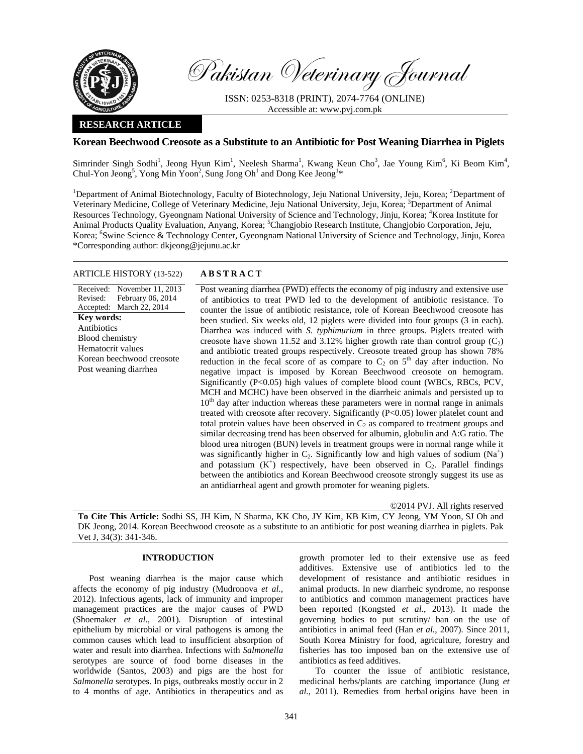

Pakistan Veterinary Journal

ISSN: 0253-8318 (PRINT), 2074-7764 (ONLINE) Accessible at: www.pvj.com.pk

# **RESEARCH ARTICLE**

## **Korean Beechwood Creosote as a Substitute to an Antibiotic for Post Weaning Diarrhea in Piglets**

Simrinder Singh Sodhi<sup>1</sup>, Jeong Hyun Kim<sup>1</sup>, Neelesh Sharma<sup>1</sup>, Kwang Keun Cho<sup>3</sup>, Jae Young Kim<sup>6</sup>, Ki Beom Kim<sup>4</sup>, Chul-Yon Jeong<sup>5</sup>, Yong Min Yoon<sup>2</sup>, Sung Jong Oh<sup>1</sup> and Dong Kee Jeong<sup>1\*</sup>

<sup>1</sup>Department of Animal Biotechnology, Faculty of Biotechnology, Jeju National University, Jeju, Korea; <sup>2</sup>Department of Veterinary Medicine, College of Veterinary Medicine, Jeju National University, Jeju, Korea; <sup>3</sup>Department of Animal Resources Technology, Gyeongnam National University of Science and Technology, Jinju, Korea; <sup>4</sup>Korea Institute for Animal Products Quality Evaluation, Anyang, Korea; <sup>5</sup>Changjobio Research Institute, Changjobio Corporation, Jeju, Korea; <sup>6</sup>Swine Science & Technology Center, Gyeongnam National University of Science and Technology, Jinju, Korea \*Corresponding author: dkjeong@jejunu.ac.kr

### ARTICLE HISTORY (13-522) **ABSTRACT**

Received: November 11, 2013 Revised: Accepted: February 06, 2014 March 22, 2014 **Key words:**  Antibiotics Blood chemistry Hematocrit values Korean beechwood creosote Post weaning diarrhea

 Post weaning diarrhea (PWD) effects the economy of pig industry and extensive use of antibiotics to treat PWD led to the development of antibiotic resistance. To counter the issue of antibiotic resistance, role of Korean Beechwood creosote has been studied. Six weeks old, 12 piglets were divided into four groups (3 in each). Diarrhea was induced with *S. typhimurium* in three groups. Piglets treated with creosote have shown 11.52 and 3.12% higher growth rate than control group  $(C_2)$ and antibiotic treated groups respectively. Creosote treated group has shown 78% reduction in the fecal score of as compare to  $C_2$  on  $5<sup>th</sup>$  day after induction. No negative impact is imposed by Korean Beechwood creosote on hemogram. Significantly (P<0.05) high values of complete blood count (WBCs, RBCs, PCV, MCH and MCHC) have been observed in the diarrheic animals and persisted up to  $10<sup>th</sup>$  day after induction whereas these parameters were in normal range in animals treated with creosote after recovery. Significantly (P<0.05) lower platelet count and total protein values have been observed in  $C_2$  as compared to treatment groups and similar decreasing trend has been observed for albumin, globulin and A:G ratio. The blood urea nitrogen (BUN) levels in treatment groups were in normal range while it was significantly higher in  $C_2$ . Significantly low and high values of sodium (Na<sup>+</sup>) and potassium  $(K^+)$  respectively, have been observed in  $C_2$ . Parallel findings between the antibiotics and Korean Beechwood creosote strongly suggest its use as an antidiarrheal agent and growth promoter for weaning piglets.

©2014 PVJ. All rights reserved

**To Cite This Article:** Sodhi SS, JH Kim, N Sharma, KK Cho, JY Kim, KB Kim, CY Jeong, YM Yoon, SJ Oh and DK Jeong, 2014. Korean Beechwood creosote as a substitute to an antibiotic for post weaning diarrhea in piglets. Pak Vet J, 34(3): 341-346.

## **INTRODUCTION**

Post weaning diarrhea is the major cause which affects the economy of pig industry (Mudronova *et al.*, 2012). Infectious agents, lack of immunity and improper management practices are the major causes of PWD (Shoemaker *et al.*, 2001). Disruption of intestinal epithelium by microbial or viral pathogens is among the common causes which lead to insufficient absorption of water and result into diarrhea. Infections with *Salmonella* serotypes are source of food borne diseases in the worldwide (Santos, 2003) and pigs are the host for *Salmonella* serotypes. In pigs, outbreaks mostly occur in 2 to 4 months of age. Antibiotics in therapeutics and as

growth promoter led to their extensive use as feed additives. Extensive use of antibiotics led to the development of resistance and antibiotic residues in animal products. In new diarrheic syndrome, no response to antibiotics and common management practices have been reported (Kongsted *et al.*, 2013). It made the governing bodies to put scrutiny/ ban on the use of antibiotics in animal feed (Han *et al.*, 2007). Since 2011, South Korea Ministry for food, agriculture, forestry and fisheries has too imposed ban on the extensive use of antibiotics as feed additives.

To counter the issue of antibiotic resistance, medicinal herbs/plants are catching importance (Jung *et al.*, 2011). Remedies from herbal origins have been in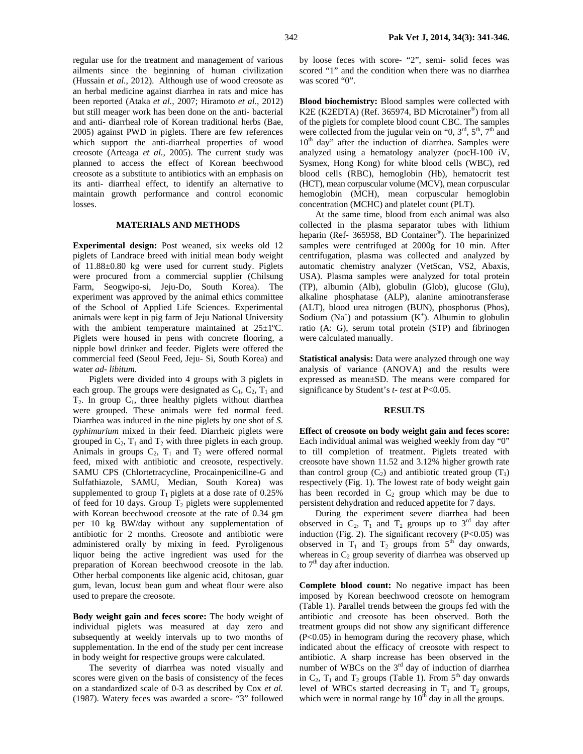regular use for the treatment and management of various ailments since the beginning of human civilization (Hussain *et al.*, 2012). Although use of wood creosote as an herbal medicine against diarrhea in rats and mice has been reported (Ataka *et al.*, 2007; Hiramoto *et al.*, 2012) but still meager work has been done on the anti- bacterial and anti- diarrheal role of Korean traditional herbs (Bae, 2005) against PWD in piglets. There are few references which support the anti-diarrheal properties of wood creosote (Arteaga *et al.*, 2005). The current study was planned to access the effect of Korean beechwood creosote as a substitute to antibiotics with an emphasis on its anti- diarrheal effect, to identify an alternative to maintain growth performance and control economic losses.

# **MATERIALS AND METHODS**

**Experimental design:** Post weaned, six weeks old 12 piglets of Landrace breed with initial mean body weight of 11.88±0.80 kg were used for current study. Piglets were procured from a commercial supplier (Chilsung Farm, Seogwipo-si, Jeju-Do, South Korea). The experiment was approved by the animal ethics committee of the School of Applied Life Sciences. Experimental animals were kept in pig farm of Jeju National University with the ambient temperature maintained at 25±1°C. Piglets were housed in pens with concrete flooring, a nipple bowl drinker and feeder. Piglets were offered the commercial feed (Seoul Feed, Jeju- Si, South Korea) and water *ad- libitum.* 

Piglets were divided into 4 groups with 3 piglets in each group. The groups were designated as  $C_1$ ,  $C_2$ ,  $T_1$  and  $T_2$ . In group  $C_1$ , three healthy piglets without diarrhea were grouped. These animals were fed normal feed. Diarrhea was induced in the nine piglets by one shot of *S. typhimurium* mixed in their feed. Diarrheic piglets were grouped in  $C_2$ ,  $T_1$  and  $T_2$  with three piglets in each group. Animals in groups  $C_2$ ,  $T_1$  and  $T_2$  were offered normal feed, mixed with antibiotic and creosote, respectively. SAMU CPS (Chlortetracycline, Procainpenicillne-G and Sulfathiazole, SAMU, Median, South Korea) was supplemented to group  $T_1$  piglets at a dose rate of 0.25% of feed for 10 days. Group  $T_2$  piglets were supplemented with Korean beechwood creosote at the rate of 0.34 gm per 10 kg BW/day without any supplementation of antibiotic for 2 months. Creosote and antibiotic were administered orally by mixing in feed. Pyroligenous liquor being the active ingredient was used for the preparation of Korean beechwood creosote in the lab. Other herbal components like algenic acid, chitosan, guar gum, levan, locust bean gum and wheat flour were also used to prepare the creosote.

**Body weight gain and feces score:** The body weight of individual piglets was measured at day zero and subsequently at weekly intervals up to two months of supplementation. In the end of the study per cent increase in body weight for respective groups were calculated.

The severity of diarrhea was noted visually and scores were given on the basis of consistency of the feces on a standardized scale of 0-3 as described by Cox *et al.* (1987). Watery feces was awarded a score- "3" followed

by loose feces with score- "2", semi- solid feces was scored "1" and the condition when there was no diarrhea was scored "0".

**Blood biochemistry:** Blood samples were collected with K2E (K2EDTA) (Ref. 365974, BD Microtainer®) from all of the piglets for complete blood count CBC. The samples were collected from the jugular vein on " $0, 3<sup>rd</sup>, 5<sup>th</sup>, 7<sup>th</sup>$  and  $10<sup>th</sup>$  day" after the induction of diarrhea. Samples were analyzed using a hematology analyzer (pocH-100 iV, Sysmex, Hong Kong) for white blood cells (WBC), red blood cells (RBC), hemoglobin (Hb), hematocrit test (HCT), mean corpuscular volume (MCV), mean corpuscular hemoglobin (MCH), mean corpuscular hemoglobin concentration (MCHC) and platelet count (PLT).

At the same time, blood from each animal was also collected in the plasma separator tubes with lithium heparin (Ref- 365958, BD Container®). The heparinized samples were centrifuged at 2000g for 10 min. After centrifugation, plasma was collected and analyzed by automatic chemistry analyzer (VetScan, VS2, Abaxis, USA). Plasma samples were analyzed for total protein (TP), albumin (Alb), globulin (Glob), glucose (Glu), alkaline phosphatase (ALP), alanine aminotransferase (ALT), blood urea nitrogen (BUN), phosphorus (Phos), Sodium ( $Na<sup>+</sup>$ ) and potassium ( $K<sup>+</sup>$ ). Albumin to globulin ratio (A: G), serum total protein (STP) and fibrinogen were calculated manually.

**Statistical analysis:** Data were analyzed through one way analysis of variance (ANOVA) and the results were expressed as mean±SD. The means were compared for significance by Student's *t- test* at P<0.05.

#### **RESULTS**

**Effect of creosote on body weight gain and feces score:**  Each individual animal was weighed weekly from day "0" to till completion of treatment. Piglets treated with creosote have shown 11.52 and 3.12% higher growth rate than control group  $(C_2)$  and antibiotic treated group  $(T_1)$ respectively (Fig. 1). The lowest rate of body weight gain has been recorded in  $C_2$  group which may be due to persistent dehydration and reduced appetite for 7 days.

During the experiment severe diarrhea had been observed in  $C_2$ ,  $T_1$  and  $T_2$  groups up to 3<sup>rd</sup> day after induction (Fig. 2). The significant recovery  $(P<0.05)$  was observed in  $T_1$  and  $T_2$  groups from  $5<sup>th</sup>$  day onwards, whereas in  $C_2$  group severity of diarrhea was observed up to  $7<sup>th</sup>$  day after induction.

**Complete blood count:** No negative impact has been imposed by Korean beechwood creosote on hemogram (Table 1). Parallel trends between the groups fed with the antibiotic and creosote has been observed. Both the treatment groups did not show any significant difference (P<0.05) in hemogram during the recovery phase, which indicated about the efficacy of creosote with respect to antibiotic. A sharp increase has been observed in the number of WBCs on the 3<sup>rd</sup> day of induction of diarrhea in  $C_2$ ,  $T_1$  and  $T_2$  groups (Table 1). From  $5<sup>th</sup>$  day onwards level of WBCs started decreasing in  $T_1$  and  $T_2$  groups, which were in normal range by  $10^{th}$  day in all the groups.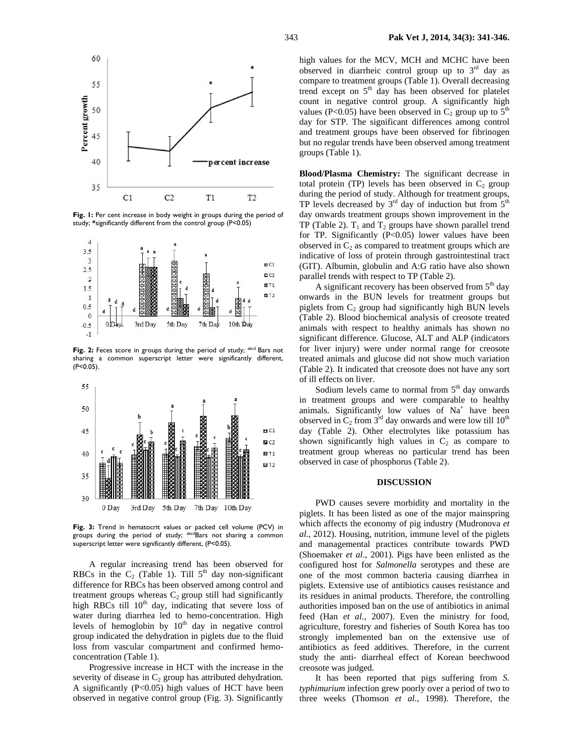

Fig. 1: Per cent increase in body weight in groups during the period of study; **\***significantly different from the control group (P<0.05)



Fig. 2: Feces score in groups during the period of study; <sup>abcd</sup> Bars not sharing a common superscript letter were significantly different, (P<0.05).



**Fig. 3:** Trend in hematocrit values or packed cell volume (PCV) in groups during the period of study; abcdBars not sharing a common superscript letter were significantly different, (P<0.05).

A regular increasing trend has been observed for RBCs in the  $C_2$  (Table 1). Till  $5<sup>th</sup>$  day non-significant difference for RBCs has been observed among control and treatment groups whereas  $C_2$  group still had significantly high RBCs till  $10<sup>th</sup>$  day, indicating that severe loss of water during diarrhea led to hemo-concentration. High levels of hemoglobin by  $10<sup>th</sup>$  day in negative control group indicated the dehydration in piglets due to the fluid loss from vascular compartment and confirmed hemoconcentration (Table 1).

Progressive increase in HCT with the increase in the severity of disease in  $C_2$  group has attributed dehydration. A significantly  $(P<0.05)$  high values of HCT have been observed in negative control group (Fig. 3). Significantly high values for the MCV, MCH and MCHC have been observed in diarrheic control group up to  $3<sup>rd</sup>$  day as compare to treatment groups (Table 1). Overall decreasing trend except on 5<sup>th</sup> day has been observed for platelet count in negative control group. A significantly high values (P<0.05) have been observed in  $C_2$  group up to  $5<sup>th</sup>$ day for STP. The significant differences among control and treatment groups have been observed for fibrinogen but no regular trends have been observed among treatment groups (Table 1).

**Blood/Plasma Chemistry:** The significant decrease in total protein (TP) levels has been observed in  $C_2$  group during the period of study. Although for treatment groups, TP levels decreased by  $3<sup>rd</sup>$  day of induction but from  $5<sup>th</sup>$ day onwards treatment groups shown improvement in the TP (Table 2).  $T_1$  and  $T_2$  groups have shown parallel trend for TP. Significantly (P<0.05) lower values have been observed in  $C_2$  as compared to treatment groups which are indicative of loss of protein through gastrointestinal tract (GIT). Albumin, globulin and A:G ratio have also shown parallel trends with respect to TP (Table 2).

A significant recovery has been observed from  $5<sup>th</sup>$  day onwards in the BUN levels for treatment groups but piglets from  $C_2$  group had significantly high BUN levels (Table 2). Blood biochemical analysis of creosote treated animals with respect to healthy animals has shown no significant difference. Glucose, ALT and ALP (indicators for liver injury) were under normal range for creosote treated animals and glucose did not show much variation (Table 2). It indicated that creosote does not have any sort of ill effects on liver.

Sodium levels came to normal from 5<sup>th</sup> day onwards in treatment groups and were comparable to healthy animals. Significantly low values of  $Na<sup>+</sup>$  have been observed in  $C_2$  from 3<sup>rd</sup> day onwards and were low till 10<sup>th</sup> day (Table 2). Other electrolytes like potassium has shown significantly high values in  $C_2$  as compare to treatment group whereas no particular trend has been observed in case of phosphorus (Table 2).

#### **DISCUSSION**

PWD causes severe morbidity and mortality in the piglets. It has been listed as one of the major mainspring which affects the economy of pig industry (Mudronova *et al.*, 2012). Housing, nutrition, immune level of the piglets and managemental practices contribute towards PWD (Shoemaker *et al.*, 2001). Pigs have been enlisted as the configured host for *Salmonella* serotypes and these are one of the most common bacteria causing diarrhea in piglets. Extensive use of antibiotics causes resistance and its residues in animal products. Therefore, the controlling authorities imposed ban on the use of antibiotics in animal feed (Han *et al.*, 2007). Even the ministry for food, agriculture, forestry and fisheries of South Korea has too strongly implemented ban on the extensive use of antibiotics as feed additives. Therefore, in the current study the anti- diarrheal effect of Korean beechwood creosote was judged.

It has been reported that pigs suffering from *S. typhimurium* infection grew poorly over a period of two to three weeks (Thomson *et al.*, 1998). Therefore, the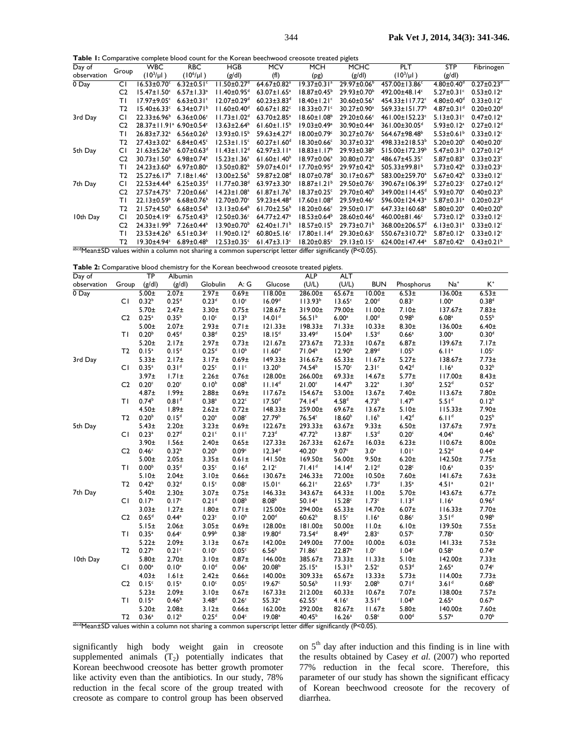**Table 1:** Comparative complete blood count for the Korean beechwood creosote treated piglets

| Day of                                                                                                                  | Group          | <b>WBC</b>                                      | <b>RBC</b>                   | <b>HGB</b>                    | <b>MCV</b>                    | <b>MCH</b>                    | <b>MCHC</b>                   | <b>PLT</b>                 | <b>STP</b>                   | Fibrinogen                   |
|-------------------------------------------------------------------------------------------------------------------------|----------------|-------------------------------------------------|------------------------------|-------------------------------|-------------------------------|-------------------------------|-------------------------------|----------------------------|------------------------------|------------------------------|
| observation                                                                                                             |                | $(10^3/\mu l)$                                  | $(10^6/\mu l)$               | (g/dl)                        | (f)                           | (pg)                          | (g/d)                         | $(10^3/\mu l)$             | (g/d)                        |                              |
| 0 Day                                                                                                                   | СI             | $16.53 \pm 0.70$ <sup>c</sup>                   | $6.32 \pm 0.51$ °            | $11.50 \pm 0.27$ <sup>d</sup> | $64.67 \pm 0.82$ <sup>a</sup> | $19.37 \pm 0.31$ <sup>a</sup> | $29.97 \pm 0.06^{\circ}$      | 457.00±13.86°              | $4.80 \pm 0.40$ <sup>d</sup> | $0.27 \pm 0.23$ <sup>d</sup> |
|                                                                                                                         | C <sub>2</sub> | $15.47 \pm 1.50^c$                              | $6.57 \pm 1.33$ <sup>a</sup> | $11.40 \pm 0.95$ <sup>d</sup> | $63.07 \pm 1.65^a$            | $18.87 \pm 0.45^{\circ}$      | 29.93±0.70 <sup>b</sup>       | 492.00±48.14°              | $5.27 \pm 0.31$ °            | $0.53 \pm 0.12$ <sup>a</sup> |
|                                                                                                                         | ΤI             | $17.97 \pm 9.05$ <sup>c</sup>                   | $6.63 \pm 0.31$ <sup>c</sup> | $12.07 \pm 0.29$ <sup>d</sup> | $60.23 \pm 3.83$ <sup>d</sup> | $18.40 \pm 1.21$ <sup>c</sup> | 30.60±0.56 <sup>a</sup>       | 454.33±117.72°             | $4.80 \pm 0.40$ <sup>d</sup> | $0.33 \pm 0.12$ <sup>c</sup> |
|                                                                                                                         | T2             | $15.40 \pm 6.33$ <sup>c</sup>                   | 6.34 $\pm$ 0.71 <sup>b</sup> | $11.60 \pm 0.40$ <sup>d</sup> | $60.67 \pm 1.82$ <sup>c</sup> | $18.33 \pm 0.71$ <sup>c</sup> | 30.27±0.90 <sup>a</sup>       | 569.33±151.77 <sup>b</sup> | $4.87 \pm 0.31$ <sup>d</sup> | $0.20 \pm 0.20$ <sup>d</sup> |
| 3rd Day                                                                                                                 | СI             | $22.33 \pm 6.96^b$                              | $6.36 \pm 0.06$ <sup>c</sup> | $11.73 \pm 1.02$ <sup>d</sup> | $63.70 \pm 2.85^a$            | $18.60 \pm 1.08^b$            | 29.20±0.66°                   | 461.00±152.23c             | $5.13 \pm 0.31$ °            | $0.47 \pm 0.12$ <sup>a</sup> |
|                                                                                                                         | C <sub>2</sub> | 28.37±11.91 <sup>ª</sup> 6.90±0.54 <sup>c</sup> |                              | $13.63 \pm 2.64^b$            | $61.60 \pm 1.15^b$            | $19.03 \pm 0.49^a$            | 30.90±0.44 <sup>a</sup>       | 361.00±30.05 <sup>d</sup>  | $5.93 \pm 0.12$ <sup>a</sup> | $0.27 \pm 0.12$ <sup>d</sup> |
|                                                                                                                         | ΤI             | $26.83 \pm 7.32$ <sup>a</sup>                   | $6.56 \pm 0.26$              | $13.93 \pm 0.15^{\circ}$      | 59.63±4.27 <sup>d</sup>       | 18.00±0.79c                   | 30.27±0.76 <sup>a</sup>       | 564.67±98.48 <sup>b</sup>  | $5.53 \pm 0.61$ <sup>b</sup> | $0.33 \pm 0.12$ <sup>c</sup> |
|                                                                                                                         | T <sub>2</sub> | $27.43 \pm 3.02$ <sup>a</sup>                   | $6.84 \pm 0.45$ <sup>c</sup> | $12.53 \pm 1.15$ <sup>c</sup> | $60.27 \pm 1.60$ <sup>d</sup> | $18.30 \pm 0.66$ <sup>c</sup> | 30.37±0.32 <sup>a</sup>       | $498.33 \pm 218.53^b$      | $5.20 \pm 0.20^{\circ}$      | $0.40 \pm 0.20$ <sup>c</sup> |
| 5th Day                                                                                                                 | СI             | $21.63 \pm 5.26$ <sup>b</sup>                   | $6.07 \pm 0.63$ <sup>d</sup> | $11.43 \pm 1.12^d$            | 62.97 $\pm$ 3.11 <sup>a</sup> | $18.83 \pm 1.17^b$            | 29.93±0.38 <sup>b</sup>       | 515.00±172.39 <sup>b</sup> | $5.47 \pm 0.31^b$            | $0.27 \pm 0.12$ <sup>d</sup> |
|                                                                                                                         | C <sub>2</sub> | $30.73 \pm 1.50^a$                              | $6.98 \pm 0.74$ <sup>a</sup> | $15.23 \pm 1.36^a$            | $61.60 \pm 1.40^b$            | 18.97±0.06 <sup>a</sup>       | 30.80±0.72 <sup>a</sup>       | 486.67±45.35°              | $5.87 \pm 0.83$ <sup>a</sup> | $0.33 \pm 0.23$ <sup>c</sup> |
|                                                                                                                         | ΤI             | $24.23 \pm 3.60^{\circ}$                        | $6.97 \pm 0.80^a$            | $13.50 \pm 0.82^b$            | 59.07±4.01 <sup>d</sup>       | $17.70 \pm 0.95$ <sup>d</sup> | 29.97±0.42 <sup>b</sup>       | 505.33±99.81 <sup>b</sup>  | $5.73 \pm 0.42^b$            | $0.33 \pm 0.23$ c            |
|                                                                                                                         | T2             | $25.27 \pm 6.17^b$                              | $7.18 \pm 1.46^a$            | $13.00 \pm 2.56^{\circ}$      | 59.87±2.08 <sup>d</sup>       | $18.07 \pm 0.78$ <sup>d</sup> | $30.17 \pm 0.67^{\circ}$      | 583.00±259.70 <sup>a</sup> | $5.67 \pm 0.42^b$            | $0.33 \pm 0.12$ <sup>c</sup> |
| 7th Day                                                                                                                 | СI             | $22.53 \pm 4.44^b$                              | $6.25 \pm 0.35$ <sup>d</sup> | $11.77 \pm 0.38$ <sup>d</sup> | 63.97±3.30 <sup>a</sup>       | $18.87 \pm 1.21^b$            | 29.50±0.76°                   | 390.67±106.39 <sup>d</sup> | $5.27 \pm 0.23$ <sup>c</sup> | $0.27 \pm 0.12$ <sup>d</sup> |
|                                                                                                                         | C <sub>2</sub> | 27.57±4.75 <sup>a</sup>                         | 7.20±0.66 <sup>a</sup>       | $14.23 \pm 1.08^a$            | $61.87 \pm 1.76$ <sup>b</sup> | $18.37 \pm 0.25$ <sup>c</sup> | 29.70±0.40 <sup>b</sup>       | 349.00±114.45 <sup>d</sup> | $5.93 \pm 0.70$ <sup>a</sup> | $0.40 \pm 0.23^b$            |
|                                                                                                                         | ΤI             | $22.13 \pm 0.59$ <sup>b</sup>                   | $6.68 \pm 0.76$              | 12.70±0.70c                   | 59.23±4.48 <sup>d</sup>       | 17.60±1.08 <sup>d</sup>       | 29.59±0.46°                   | 596.00±124.43 <sup>a</sup> | $5.87 \pm 0.31$ <sup>a</sup> | $0.20 \pm 0.23$ <sup>d</sup> |
|                                                                                                                         | T2             | $21.57 \pm 4.50^b$                              | $6.68 \pm 0.54^b$            | $13.13 \pm 0.64^b$            | $61.70 \pm 2.56^b$            | $18.20 \pm 0.66$ <sup>c</sup> | 29.50±0.17°                   | 647.33±160.68 <sup>a</sup> | $5.80 \pm 0.20$ <sup>a</sup> | $0.40 \pm 0.20^b$            |
| 10th Day                                                                                                                | СI             | 20.50±4.19°                                     | $6.75 \pm 0.43^b$            | $12.50 \pm 0.36$ <sup>c</sup> | 64.77±2.47 <sup>a</sup>       | $18.53 \pm 0.64^b$            | 28.60±0.46 <sup>d</sup>       | 460.00±81.46°              | $5.73 \pm 0.12^b$            | $0.33 \pm 0.12$ <sup>c</sup> |
|                                                                                                                         | C <sub>2</sub> | $24.33 \pm 1.99^b$                              | 7.26±0.44 <sup>a</sup>       | $13.90 \pm 0.70^{\circ}$      | $62.40 \pm 1.71$ <sup>b</sup> | $18.57 \pm 0.15^b$            | 29.73±0.71 <sup>b</sup>       | 368.00±206.57 <sup>d</sup> | $6.13 \pm 0.31$ <sup>a</sup> | $0.33 \pm 0.12$ c            |
|                                                                                                                         | ΤI             | $23.53 \pm 4.26$ <sup>b</sup>                   | $6.51 \pm 0.34$ <sup>c</sup> | $11.90 \pm 0.12$ <sup>d</sup> | $60.80 \pm 5.16$ <sup>c</sup> | $17.80 \pm 1.14$ <sup>d</sup> | 29.30±0.63c                   | 550.67±310.72 <sup>b</sup> | $5.87 \pm 0.12$ <sup>a</sup> | $0.33 \pm 0.12$ <sup>c</sup> |
|                                                                                                                         | T2             | $19.30 + 4.94^{\circ}$                          | $6.89 \pm 0.48^b$            | $12.53 \pm 0.35$ <sup>c</sup> | $61.47 \pm 3.13$ <sup>c</sup> | $18.20 \pm 0.85$ <sup>c</sup> | $29.13 \pm 0.15$ <sup>c</sup> | 624.00±147.44 <sup>a</sup> | $5.87 \pm 0.42$ <sup>a</sup> | $0.43 \pm 0.21$ <sup>b</sup> |
| $\frac{1}{2}$ abcdMean±SD values within a column not sharing a common superscript letter differ significantly (P<0.05). |                |                                                 |                              |                               |                               |                               |                               |                            |                              |                              |

**Table 2:** Comparative blood chemistry for the Korean beechwood creosote treated piglets.

| Day of      |                | $\overline{\mathsf{TP}}$ | Albumin           | <b>ALP</b><br><b>ALT</b> |                   |                    |                     |                    |                    |                   |                     |                     |
|-------------|----------------|--------------------------|-------------------|--------------------------|-------------------|--------------------|---------------------|--------------------|--------------------|-------------------|---------------------|---------------------|
| observation | Group          | (g/d)                    | (g/dl)            | Globulin                 | A:G               | Glucose            | (U/L)               | (U/L)              | <b>BUN</b>         | Phosphorus        | $Na+$               | $\mathsf{K}^*$      |
| 0 Day       |                | $5.00 +$                 | $2.07 \pm$        | $2.97 \pm$               | 0.69 <sub>±</sub> | $118.00 \pm$       | 286.00±             | $65.67 \pm$        | $10.00 \pm$        | $6.53 \pm$        | 136.00±             | $6.53 \pm$          |
|             | CI.            | 0.32 <sup>b</sup>        | 0.25 <sup>d</sup> | 0.23 <sup>d</sup>        | 0.10 <sup>c</sup> | 16.09 <sup>d</sup> | 113.93 <sup>b</sup> | 13.65 <sup>c</sup> | 2.00 <sup>d</sup>  | 0.83c             | 1.00 <sup>a</sup>   | 0.38 <sup>d</sup>   |
|             |                | $5.70 +$                 | 2.47 <sub>±</sub> | $3.30 +$                 | 0.75±             | $128.67 \pm$       | 319.00±             | 79.00±             | $11.00 \pm$        | 7.10±             | $137.67 \pm$        | $7.83 \pm$          |
|             | C <sub>2</sub> | $0.25$ <sup>a</sup>      | 0.35 <sup>b</sup> | 0.10 <sup>c</sup>        | 0.13 <sup>b</sup> | 14.01 <sup>d</sup> | 56.5 $1b$           | 6.00 <sup>a</sup>  | 1.00 <sup>d</sup>  | 0.98 <sup>b</sup> | 6.08 <sup>a</sup>   | 0.55 <sup>b</sup>   |
|             |                | $5.00 +$                 | $2.07 +$          | $2.93 +$                 | $0.71 \pm$        | 121.33±            | $198.33 \pm$        | $71.33\pm$         | $10.33 +$          | $8.30 +$          | 136.00±             | 6.40 <sub>±</sub>   |
|             | TΙ             | 0.20 <sup>b</sup>        | 0.45 <sup>d</sup> | 0.38 <sup>d</sup>        | 0.25 <sup>b</sup> | 18.15 <sup>d</sup> | 33.49 <sup>d</sup>  | 15.04 <sup>b</sup> | 1.53 <sup>d</sup>  | 0.66 <sup>a</sup> | 3.00 <sup>a</sup>   | 0.30 <sup>d</sup>   |
|             |                | $5.20 +$                 | 2.17 <sub>±</sub> | 2.97 <sub>±</sub>        | $0.73 +$          | $121.67 \pm$       | 273.67±             | $72.33 \pm$        | $10.67 \pm$        | $6.87 +$          | $139.67 \pm$        | 7.17 <sub>±</sub>   |
|             | T <sub>2</sub> | 0.15 <sup>a</sup>        | 0.15 <sup>d</sup> | 0.25 <sup>d</sup>        | 0.10 <sup>b</sup> | 11.60 <sup>d</sup> | 71.04 <sup>b</sup>  | 12.90 <sup>b</sup> | 2.89 <sup>d</sup>  | 1.05 <sup>b</sup> | 6.11a               | 1.05 <sup>c</sup>   |
| 3rd Day     |                | $5.33 \pm$               | 2.17 <sub>±</sub> | 3.17 <sub>±</sub>        | $0.69 +$          | $149.33 \pm$       | 316.67±             | $65.33 \pm$        | 11.67 <sub>±</sub> | $5.27 \pm$        | 138.67±             | 7.73 <sub>±</sub>   |
|             | CI             | $0.35^{a}$               | 0.31 <sup>d</sup> | 0.25 <sup>c</sup>        | 0.11 <sup>c</sup> | 13.20 <sup>b</sup> | 74.54 <sup>b</sup>  | 15.70 <sup>c</sup> | 2.31 <sup>c</sup>  | 0.42 <sup>d</sup> | 1.16 <sup>a</sup>   | 0.32 <sup>b</sup>   |
|             |                | $3.97 +$                 | $1.71 \pm$        | $2.26 +$                 | $0.76 +$          | 128.00±            | 266.00±             | $69.33 \pm$        | $14.67 \pm$        | $5.77 \pm$        | $117.00 \pm$        | $8.43\pm$           |
|             | C <sub>2</sub> | 0.20 <sup>c</sup>        | 0.20 <sup>c</sup> | 0.10 <sup>b</sup>        | 0.08 <sup>b</sup> | 11.14 <sup>d</sup> | 21.00 <sup>c</sup>  | 14.47 <sup>b</sup> | 3.22 <sup>a</sup>  | 1.30 <sup>d</sup> | 2.52 <sup>d</sup>   | $0.52$ <sup>a</sup> |
|             |                | $4.87 +$                 | 1.99 <sub>±</sub> | 2.88 <sub>±</sub>        | $0.69 +$          | $117.67 \pm$       | 154.67±             | 53.00±             | $13.67 \pm$        | 7.40±             | $113.67 \pm$        | $7.80 \pm$          |
|             | TΙ             | 0.74 <sup>b</sup>        | 0.81 <sup>d</sup> | 0.38 <sup>a</sup>        | 0.22c             | 17.50 <sup>d</sup> | 74.14 <sup>d</sup>  | 4.58 <sup>d</sup>  | 4.73 <sup>b</sup>  | 1.47 <sup>b</sup> | 5.51 <sup>d</sup>   | $0.12^{b}$          |
|             |                | 4.50 <sub>±</sub>        | 1.89 <sub>±</sub> | $2.62 +$                 | $0.72 +$          | $148.33 \pm$       | 259.00±             | $69.67 \pm$        | $13.67 \pm$        | 5.10±             | $115.33 \pm$        | $7.90 \pm$          |
|             | T <sub>2</sub> | 0.20 <sup>b</sup>        | 0.15 <sup>d</sup> | 0.20 <sup>a</sup>        | 0.08 <sup>c</sup> | 27.79 <sup>b</sup> | 76.54c              | 18.60 <sup>b</sup> | 1.16 <sup>b</sup>  | 1.42 <sup>d</sup> | 6.11 <sup>d</sup>   | $0.25^{b}$          |
| 5th Day     |                | $5.43 \pm$               | $2.20 +$          | $3.23 +$                 | $0.69 +$          | $122.67 \pm$       | 293.33±             | $63.67 \pm$        | $9.33 \pm$         | $6.50 \pm$        | $137.67 \pm$        | $7.97 +$            |
|             | CI.            | 0.23 <sup>a</sup>        | 0.27 <sup>d</sup> | 0.21 <sup>c</sup>        | 0.11 <sup>c</sup> | 7.23 <sup>d</sup>  | 47.72 <sup>b</sup>  | 13.87 <sup>c</sup> | 1.53 <sup>d</sup>  | 0.20 <sup>c</sup> | 4.04 <sup>a</sup>   | 0.46 <sup>b</sup>   |
|             |                | $3.90 +$                 | $1.56\pm$         | 2.40 <sub>±</sub>        | $0.65 \pm$        | $127.33\pm$        | $267.33 \pm$        | $62.67 \pm$        | 16.03 <sub>±</sub> | $6.23 +$          | 110.67 <sub>±</sub> | $8.00 \pm$          |
|             | C <sub>2</sub> | 0.46 <sup>c</sup>        | 0.32 <sup>b</sup> | 0.20 <sup>b</sup>        | 0.09 <sup>c</sup> | 12.34 <sup>d</sup> | 40.20 <sup>c</sup>  | 9.07 <sup>c</sup>  | 3.0 <sup>a</sup>   | 1.01 <sup>c</sup> | 2.52 <sup>d</sup>   | $0.44^{\rm a}$      |
|             |                | $5.00 +$                 | $2.05 \pm$        | $3.35 +$                 | $0.61 \pm$        | 141.50±            | $169.50 \pm$        | $56.00 \pm$        | $9.50 \pm$         | $6.20 \pm$        | $142.50 \pm$        | $7.75 \pm$          |
|             | TΙ             | 0.00 <sup>b</sup>        | 0.35 <sup>d</sup> | 0.35 <sup>c</sup>        | 0.16 <sup>d</sup> | 2.12 <sup>c</sup>  | 71.41 <sup>d</sup>  | $14.14^{d}$        | 2.12 <sup>d</sup>  | 0.28 <sup>c</sup> | 10.6 <sup>a</sup>   | $0.35$ <sup>a</sup> |
|             |                | 5.10±                    | $2.04 \pm$        | 3.10±                    | $0.66 \pm$        | $130.67 \pm$       | $246.33 \pm$        | 72.00±             | $10.50 \pm$        | $7.60 \pm$        | 141.67 <sub>±</sub> | $7.63 \pm$          |
|             | T <sub>2</sub> | 0.42 <sup>b</sup>        | 0.32 <sup>d</sup> | 0.15 <sup>c</sup>        | 0.08 <sup>c</sup> | 15.01 <sup>c</sup> | 66.21c              | $22.65^b$          | 1.73 <sup>d</sup>  | 1.35 <sup>a</sup> | 4.51 <sup>a</sup>   | 0.21 <sup>a</sup>   |
| 7th Day     |                | 5.40±                    | $2.30 +$          | $3.07 +$                 | 0.75±             | $146.33 \pm$       | 343.67±             | $64.33 \pm$        | $11.00 \pm$        | $5.70 \pm$        | $143.67 \pm$        | $6.77 \pm$          |
|             | CI.            | 0.17 <sup>a</sup>        | 0.17 <sup>c</sup> | 0.21 <sup>d</sup>        | 0.08 <sup>b</sup> | 8.08 <sup>b</sup>  | 50.14a              | 15.28 <sup>c</sup> | 1.73 <sup>c</sup>  | 1.13 <sup>d</sup> | 1.16 <sup>a</sup>   | 0.96 <sup>d</sup>   |
|             |                | $3.03 +$                 | 1.27 <sub>±</sub> | $1.80 \pm$               | $0.71 \pm$        | 125.00±            | 294.00±             | $65.33 \pm$        | $14.70 \pm$        | $6.07 +$          | 116.33±             | $7.70 +$            |
|             | C <sub>2</sub> | 0.65 <sup>d</sup>        | $0.44^{a}$        | 0.23 <sup>c</sup>        | $0.10^{b}$        | 2.00 <sup>d</sup>  | 60.62 <sup>b</sup>  | 8.15 <sup>c</sup>  | 1.16 <sup>a</sup>  | 0.86 <sup>c</sup> | 3.51 <sup>d</sup>   | 0.98 <sup>b</sup>   |
|             |                | 5.15±                    | $2.06 \pm$        | $3.05 \pm$               | $0.69 +$          | 128.00±            | 181.00±             | $50.00 \pm$        | $11.0\pm$          | 6.10±             | 139.50±             | $7.55 \pm$          |
|             | TΙ             | $0.35^{a}$               | 0.64 <sup>c</sup> | 0.99 <sup>b</sup>        | 0.38 <sup>c</sup> | 19.80 <sup>d</sup> | 73.54 <sup>d</sup>  | 8.49 <sup>d</sup>  | 2.83 <sup>c</sup>  | 0.57 <sup>c</sup> | 7.78 <sup>a</sup>   | $0.50^{\circ}$      |
|             |                | $5.22 +$                 | $2.09 +$          | 3.13±                    | $0.67 +$          | 142.00±            | 249.00±             | 77.00±             | $10.00 \pm$        | $6.03 \pm$        | 141.33±             | $7.53 +$            |
|             | T <sub>2</sub> | 0.27 <sup>a</sup>        | 0.21 <sup>c</sup> | 0.10 <sup>c</sup>        | 0.05 <sup>c</sup> | 6.56 <sup>b</sup>  | 71.86 <sup>c</sup>  | 22.87 <sup>a</sup> | 1.0 <sup>c</sup>   | 1.04 <sup>c</sup> | 0.58 <sup>a</sup>   | 0.74a               |
| 10th Day    |                | $5.80 +$                 | $2.70 +$          | 3.10±                    | $0.87 +$          | $146.00 \pm$       | 385.67±             | $73.33 \pm$        | 11.33 <sub>±</sub> | 5.10±             | $142.00 \pm$        | $7.33 +$            |
|             | СI             | $0.00^{a}$               | 0.10 <sup>a</sup> | 0.10 <sup>d</sup>        | 0.06 <sup>a</sup> | 20.08 <sup>b</sup> | 25.15 <sup>a</sup>  | 15.31 <sup>b</sup> | 2.52c              | 0.53 <sup>d</sup> | 2.65 <sup>a</sup>   | 0.74c               |
|             |                | $4.03 +$                 | $1.61 \pm$        | $2.42 +$                 | $0.66 \pm$        | 140.00±            | 309.33±             | $65.67 \pm$        | $13.33+$           | $5.73 \pm$        | $114.00\pm$         | $7.73 +$            |
|             | C <sub>2</sub> | 0.15 <sup>c</sup>        | 0.15 <sup>a</sup> | 0.10 <sup>c</sup>        | 0.05 <sup>c</sup> | 19.67 <sup>c</sup> | 50.56 <sup>b</sup>  | 11.93 <sup>c</sup> | 2.08 <sup>b</sup>  | 0.71 <sup>d</sup> | 3.61 <sup>d</sup>   | 0.68 <sup>b</sup>   |
|             |                | $5.23 +$                 | $2.09 +$          | 3.10±                    | $0.67 +$          | $167.33 \pm$       | 212.00±             | $60.33 \pm$        | $10.67 \pm$        | $7.07\pm$         | 138.00±             | $7.57 +$            |
|             | TΙ             | 0.15 <sup>a</sup>        | 0.46 <sup>b</sup> | 3.48 <sup>d</sup>        | 0.26 <sup>c</sup> | 55.32 <sup>a</sup> | 62.55c              | 4.16 <sup>c</sup>  | 3.51 <sup>d</sup>  | 1.04 <sup>b</sup> | 2.65 <sup>a</sup>   | 0.67a               |
|             |                | $5.20 +$                 | $2.08 +$          | 3.12±                    | $0.66 \pm$        | $162.00 \pm$       | 292.00±             | $82.67 \pm$        | 11.67 <sub>±</sub> | $5.80 +$          | $140.00 \pm$        | $7.60 \pm$          |
|             | T <sub>2</sub> | 0.36 <sup>a</sup>        | 0.12 <sup>b</sup> | 0.25 <sup>d</sup>        | 0.04 <sup>c</sup> | 19.08 <sup>a</sup> | 40.45 <sup>b</sup>  | 16.26 <sup>a</sup> | 0.58 <sup>c</sup>  | 0.00 <sup>d</sup> | 5.57 <sup>a</sup>   | 0.70 <sup>b</sup>   |

abcdMean±SD values within a column not sharing a common superscript letter differ significantly (P<0.05).

significantly high body weight gain in creosote supplemented animals  $(T_2)$  potentially indicates that Korean beechwood creosote has better growth promoter like activity even than the antibiotics. In our study, 78% reduction in the fecal score of the group treated with creosote as compare to control group has been observed

on  $5<sup>th</sup>$  day after induction and this finding is in line with the results obtained by Casey *et al.* (2007) who reported 77% reduction in the fecal score. Therefore, this parameter of our study has shown the significant efficacy of Korean beechwood creosote for the recovery of diarrhea.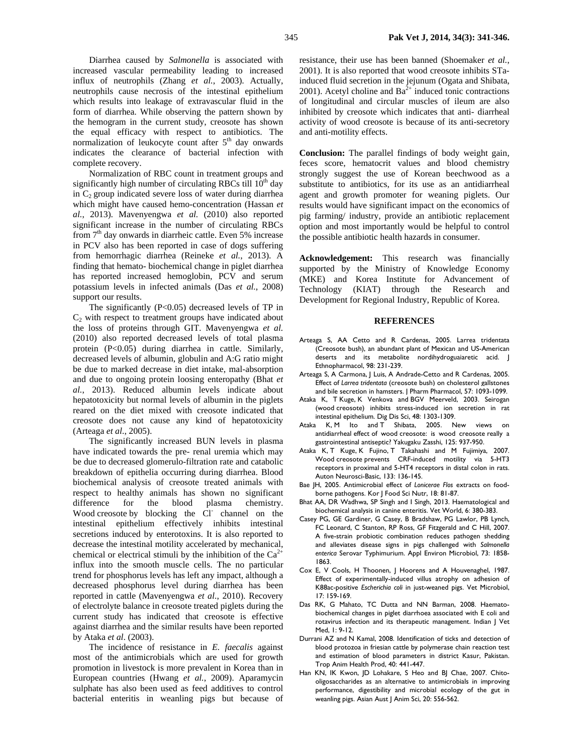Diarrhea caused by *Salmonella* is associated with increased vascular permeability leading to increased influx of neutrophils (Zhang *et al.*, 2003). Actually, neutrophils cause necrosis of the intestinal epithelium which results into leakage of extravascular fluid in the form of diarrhea. While observing the pattern shown by the hemogram in the current study, creosote has shown the equal efficacy with respect to antibiotics. The normalization of leukocyte count after  $5<sup>th</sup>$  day onwards indicates the clearance of bacterial infection with complete recovery.

Normalization of RBC count in treatment groups and significantly high number of circulating RBCs till  $10<sup>th</sup>$  day in  $C_2$  group indicated severe loss of water during diarrhea which might have caused hemo-concentration (Hassan *et al.*, 2013). Mavenyengwa *et al.* (2010) also reported significant increase in the number of circulating RBCs from 7<sup>th</sup> day onwards in diarrheic cattle. Even 5% increase in PCV also has been reported in case of dogs suffering from hemorrhagic diarrhea (Reineke *et al.*, 2013). A finding that hemato- biochemical change in piglet diarrhea has reported increased hemoglobin, PCV and serum potassium levels in infected animals (Das *et al.*, 2008) support our results.

The significantly (P<0.05) decreased levels of TP in  $C<sub>2</sub>$  with respect to treatment groups have indicated about the loss of proteins through GIT. Mavenyengwa *et al.* (2010) also reported decreased levels of total plasma protein (P<0.05) during diarrhea in cattle. Similarly, decreased levels of albumin, globulin and A:G ratio might be due to marked decrease in diet intake, mal-absorption and due to ongoing protein loosing enteropathy (Bhat *et al.*, 2013). Reduced albumin levels indicate about hepatotoxicity but normal levels of albumin in the piglets reared on the diet mixed with creosote indicated that creosote does not cause any kind of hepatotoxicity (Arteaga *et al.*, 2005).

The significantly increased BUN levels in plasma have indicated towards the pre- renal uremia which may be due to decreased glomerulo-filtration rate and catabolic breakdown of epithelia occurring during diarrhea. Blood biochemical analysis of creosote treated animals with respect to healthy animals has shown no significant difference for the blood plasma chemistry. Wood creosote by blocking the Cl channel on the intestinal epithelium effectively inhibits intestinal secretions induced by enterotoxins. It is also reported to decrease the intestinal motility accelerated by mechanical, chemical or electrical stimuli by the inhibition of the  $Ca^{2+}$ influx into the smooth muscle cells. The no particular trend for phosphorus levels has left any impact, although a decreased phosphorus level during diarrhea has been reported in cattle (Mavenyengwa *et al.*, 2010). Recovery of electrolyte balance in creosote treated piglets during the current study has indicated that creosote is effective against diarrhea and the similar results have been reported by Ataka *et al*. (2003).

The incidence of resistance in *E. faecalis* against most of the antimicrobials which are used for growth promotion in livestock is more prevalent in Korea than in European countries (Hwang *et al.*, 2009). Aparamycin sulphate has also been used as feed additives to control bacterial enteritis in weanling pigs but because of

resistance, their use has been banned (Shoemaker *et al.*, 2001). It is also reported that wood creosote inhibits STainduced fluid secretion in the jejunum (Ogata and Shibata, 2001). Acetyl choline and  $Ba^{2+}$  induced tonic contractions of longitudinal and circular muscles of ileum are also inhibited by creosote which indicates that anti- diarrheal activity of wood creosote is because of its anti-secretory and anti-motility effects.

**Conclusion:** The parallel findings of body weight gain, feces score, hematocrit values and blood chemistry strongly suggest the use of Korean beechwood as a substitute to antibiotics, for its use as an antidiarrheal agent and growth promoter for weaning piglets. Our results would have significant impact on the economics of pig farming/ industry, provide an antibiotic replacement option and most importantly would be helpful to control the possible antibiotic health hazards in consumer.

**Acknowledgement:** This research was financially supported by the Ministry of Knowledge Economy (MKE) and Korea Institute for Advancement of Technology (KIAT) through the Research and Development for Regional Industry, Republic of Korea.

#### **REFERENCES**

- Arteaga S, AA Cetto and R Cardenas, 2005. Larrea tridentata (Creosote bush), an abundant plant of Mexican and US-American deserts and its metabolite nordihydroguaiaretic acid. J Ethnopharmacol, 98: 231-239.
- Arteaga S, A Carmona, J Luis, A Andrade-Cetto and R Cardenas, 2005. Effect of *Larrea tridentata* (creosote bush) on cholesterol gallstones and bile secretion in hamsters. J Pharm Pharmacol, 57: 1093-1099.
- Ataka K, T Kuge, K Venkova and BGV Meerveld, 2003. Seirogan (wood creosote) inhibits stress-induced ion secretion in rat intestinal epithelium. Dig Dis Sci, 48: 1303-1309.
- Ataka K, M Ito and T Shibata, 2005. New views on antidiarrheal effect of wood creosote: is wood creosote really a gastrointestinal antiseptic? Yakugaku Zasshi, 125: 937-950.
- Ataka K, T Kuge, K Fujino, T Takahashi and M Fujimiya, 2007. Wood creosote prevents CRF-induced motility via 5-HT3 receptors in proximal and 5-HT4 receptors in distal colon in rats. Auton Neurosci-Basic, 133: 136-145.
- Bae JH, 2005. Antimicrobial effect of *Lonicerae Flos* extracts on foodborne pathogens. Kor J Food Sci Nutr, 18: 81-87.
- Bhat AA, DR Wadhwa, SP Singh and I Singh, 2013. Haematological and biochemical analysis in canine enteritis. Vet World, 6: 380-383.
- Casey PG, GE Gardiner, G Casey, B Bradshaw, PG Lawlor, PB Lynch, FC Leonard, C Stanton, RP Ross, GF Fitzgerald and C Hill, 2007. A five-strain probiotic combination reduces pathogen shedding and alleviates disease signs in pigs challenged with *Salmonella enterica* Serovar Typhimurium. Appl Environ Microbiol, 73: 1858- 1863.
- Cox E, V Cools, H Thoonen, J Hoorens and A Houvenaghel, 1987. Effect of experimentally-induced villus atrophy on adhesion of K88ac-positive *Escherichia coli* in just-weaned pigs. Vet Microbiol, 17: 159-169.
- Das RK, G Mahato, TC Dutta and NN Barman, 2008. Haematobiochemical changes in piglet diarrhoea associated with E coli and rotavirus infection and its therapeutic management. Indian J Vet Med, 1: 9-12.
- Durrani AZ and N Kamal, 2008. Identification of ticks and detection of blood protozoa in friesian cattle by polymerase chain reaction test and estimation of blood parameters in district Kasur, Pakistan. Trop Anim Health Prod, 40: 441-447.
- Han KN, IK Kwon, JD Lohakare, S Heo and BJ Chae, 2007. Chitooligosaccharides as an alternative to antimicrobials in improving performance, digestibility and microbial ecology of the gut in weanling pigs. Asian Aust | Anim Sci, 20: 556-562.